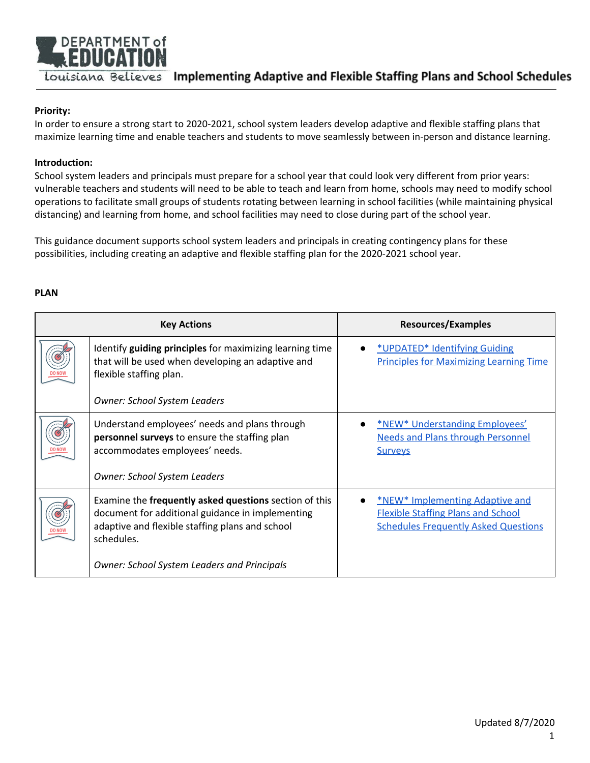

## **Priority:**

In order to ensure a strong start to 2020-2021, school system leaders develop adaptive and flexible staffing plans that maximize learning time and enable teachers and students to move seamlessly between in-person and distance learning.

#### **Introduction:**

School system leaders and principals must prepare for a school year that could look very different from prior years: vulnerable teachers and students will need to be able to teach and learn from home, schools may need to modify school operations to facilitate small groups of students rotating between learning in school facilities (while maintaining physical distancing) and learning from home, and school facilities may need to close during part of the school year.

This guidance document supports school system leaders and principals in creating contingency plans for these possibilities, including creating an adaptive and flexible staffing plan for the 2020-2021 school year.

#### **PLAN**

| <b>Key Actions</b> |                                                                                                                                                                                | Resources/Examples                                                                                                                 |  |
|--------------------|--------------------------------------------------------------------------------------------------------------------------------------------------------------------------------|------------------------------------------------------------------------------------------------------------------------------------|--|
|                    | Identify guiding principles for maximizing learning time<br>that will be used when developing an adaptive and<br>flexible staffing plan.                                       | *UPDATED* Identifying Guiding<br><b>Principles for Maximizing Learning Time</b>                                                    |  |
|                    | <b>Owner: School System Leaders</b>                                                                                                                                            |                                                                                                                                    |  |
|                    | Understand employees' needs and plans through<br><b>personnel surveys</b> to ensure the staffing plan<br>accommodates employees' needs.<br><b>Owner: School System Leaders</b> | <b>*NEW* Understanding Employees'</b><br><b>Needs and Plans through Personnel</b><br><b>Surveys</b>                                |  |
| <b>DO NOW</b>      | Examine the frequently asked questions section of this<br>document for additional guidance in implementing<br>adaptive and flexible staffing plans and school<br>schedules.    | <b>*NEW* Implementing Adaptive and</b><br><b>Flexible Staffing Plans and School</b><br><b>Schedules Frequently Asked Questions</b> |  |
|                    | <b>Owner: School System Leaders and Principals</b>                                                                                                                             |                                                                                                                                    |  |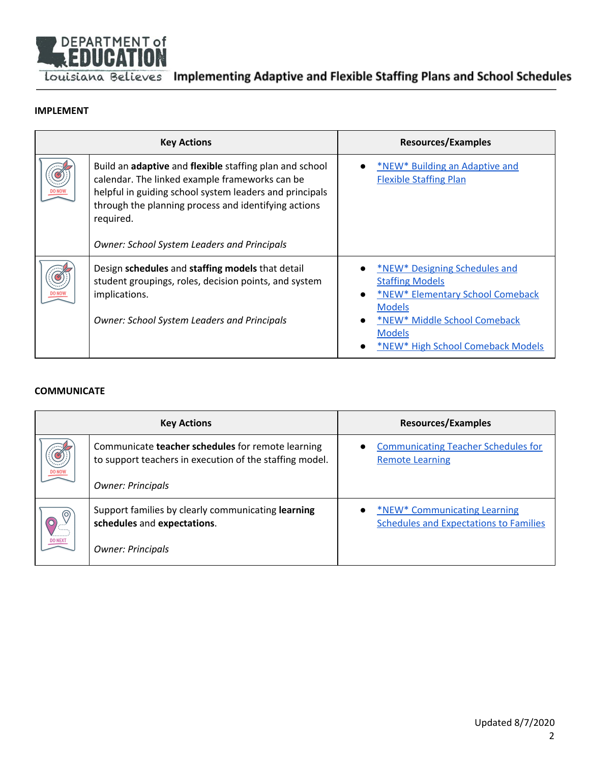

#### **[IMPLEMENT](#page-3-0)**

| <b>Key Actions</b> |                                                                                                                                                                                                                                                                                                 | <b>Resources/Examples</b>                                                                                                                                                                          |  |
|--------------------|-------------------------------------------------------------------------------------------------------------------------------------------------------------------------------------------------------------------------------------------------------------------------------------------------|----------------------------------------------------------------------------------------------------------------------------------------------------------------------------------------------------|--|
|                    | Build an adaptive and flexible staffing plan and school<br>calendar. The linked example frameworks can be<br>helpful in guiding school system leaders and principals<br>through the planning process and identifying actions<br>required.<br><b>Owner: School System Leaders and Principals</b> | *NEW* Building an Adaptive and<br><b>Flexible Staffing Plan</b>                                                                                                                                    |  |
|                    | Design schedules and staffing models that detail<br>student groupings, roles, decision points, and system<br>implications.<br><b>Owner: School System Leaders and Principals</b>                                                                                                                | *NEW* Designing Schedules and<br><b>Staffing Models</b><br>*NEW* Elementary School Comeback<br><b>Models</b><br>*NEW* Middle School Comeback<br><b>Models</b><br>*NEW* High School Comeback Models |  |

#### **[COMMUNICATE](#page-7-0)**

| <b>Key Actions</b>  |                                                                                                              | <b>Resources/Examples</b>                                                     |  |  |
|---------------------|--------------------------------------------------------------------------------------------------------------|-------------------------------------------------------------------------------|--|--|
|                     | Communicate teacher schedules for remote learning<br>to support teachers in execution of the staffing model. | <b>Communicating Teacher Schedules for</b><br><b>Remote Learning</b>          |  |  |
|                     | <b>Owner: Principals</b>                                                                                     |                                                                               |  |  |
| (O)<br>$\circ$<br>. | Support families by clearly communicating learning<br>schedules and expectations.                            | *NEW* Communicating Learning<br><b>Schedules and Expectations to Families</b> |  |  |
| <b>DO NEXT</b>      | <b>Owner: Principals</b>                                                                                     |                                                                               |  |  |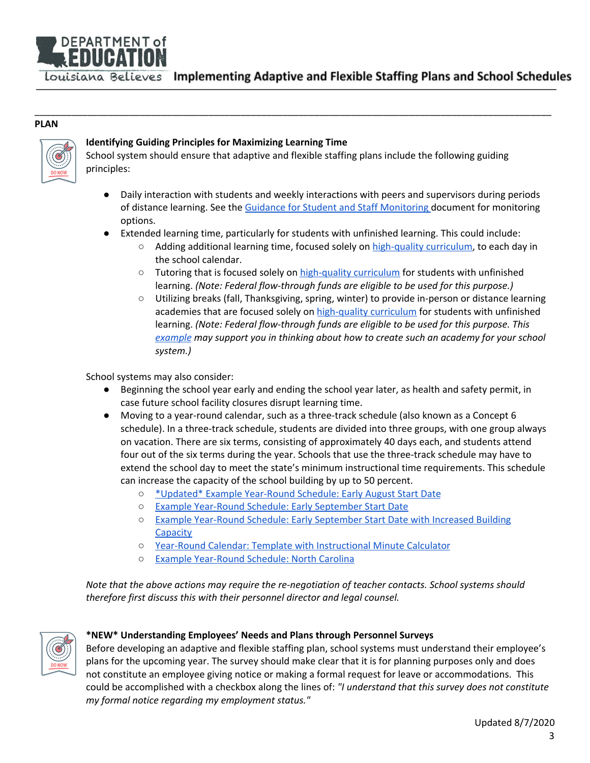

#### **PLAN**



## <span id="page-2-0"></span>**Identifying Guiding Principles for Maximizing Learning Time**

School system should ensure that adaptive and flexible staffing plans include the following guiding principles:

\_\_\_\_\_\_\_\_\_\_\_\_\_\_\_\_\_\_\_\_\_\_\_\_\_\_\_\_\_\_\_\_\_\_\_\_\_\_\_\_\_\_\_\_\_\_\_\_\_\_\_\_\_\_\_\_\_\_\_\_\_\_\_\_\_\_\_\_\_\_\_\_\_\_\_\_\_\_\_\_\_\_\_\_\_\_\_\_\_\_\_\_\_\_\_\_\_\_

- Daily interaction with students and weekly interactions with peers and supervisors during periods of distance learning. See the Guidance for Student and Staff [Monitoring](https://www.louisianabelieves.com/docs/default-source/covid-19-resources/guidance-for-staffing-and-student-monitoring.pdf?sfvrsn=195b9b1f_2) document for monitoring options.
- Extended learning time, particularly for students with unfinished learning. This could include:
	- Adding additional learning time, focused solely on [high-quality](https://www.louisianabelieves.com/docs/default-source/covid-19-resources/instructional-materials-guidance.pdf?sfvrsn=2b259b1f_2) curriculum, to each day in the school calendar.
	- Tutoring that is focused solely on [high-quality](https://www.louisianabelieves.com/docs/default-source/covid-19-resources/instructional-materials-guidance.pdf?sfvrsn=2b259b1f_2) curriculum for students with unfinished learning. *(Note: Federal flow-through funds are eligible to be used for this purpose.)*
	- Utilizing breaks (fall, Thanksgiving, spring, winter) to provide in-person or distance learning academies that are focused solely on [high-quality](https://www.louisianabelieves.com/docs/default-source/covid-19-resources/instructional-materials-guidance.pdf?sfvrsn=2b259b1f_2) curriculum for students with unfinished learning. *(Note: Federal flow-through funds are eligible to be used for this purpose. This [example](https://www.wacoisd.org/Page/9913) may support you in thinking about how to create such an academy for your school system.)*

School systems may also consider:

- Beginning the school year early and ending the school year later, as health and safety permit, in case future school facility closures disrupt learning time.
- Moving to a year-round calendar, such as a three-track schedule (also known as a Concept 6 schedule). In a three-track schedule, students are divided into three groups, with one group always on vacation. There are six terms, consisting of approximately 40 days each, and students attend four out of the six terms during the year. Schools that use the three-track schedule may have to extend the school day to meet the state's minimum instructional time requirements. This schedule can increase the capacity of the school building by up to 50 percent.
	- \*Updated\* Example [Year-Round](https://www.louisianabelieves.com/docs/default-source/strong-start-2020/2020-2021-example-year-round-schedule_-early-august-start-date.pdf?sfvrsn=9f8f991f_2) Schedule: Early August Start Date
	- Example [Year-Round](https://www.louisianabelieves.com/docs/default-source/strong-start-2020/2020-2021-example-year-round-schedule---early-september-start-date.pdf?sfvrsn=977a981f_2) Schedule: Early September Start Date
	- Example [Year-Round](https://www.louisianabelieves.com/docs/default-source/strong-start-2020/2020-2021-example-year-round-schedule---early-september-start-date-with-increased-building-capacity.pdf?sfvrsn=907a981f_2) Schedule: Early September Start Date with Increased Building **[Capacity](https://www.louisianabelieves.com/docs/default-source/strong-start-2020/2020-2021-example-year-round-schedule---early-september-start-date-with-increased-building-capacity.pdf?sfvrsn=907a981f_2)**
	- Year-Round Calendar: Template with [Instructional](https://www.louisianabelieves.com/docs/default-source/strong-start-2020/2020-2021-year-round-calendar-template.xlsx?sfvrsn=c876981f_2) Minute Calculator
	- Example [Year-Round](https://www.wcpss.net/cms/lib/NC01911451/Centricity/Domain/19/20-21%20YR.pdf) Schedule: North Carolina

*Note that the above actions may require the re-negotiation of teacher contacts. School systems should therefore first discuss this with their personnel director and legal counsel.*



#### <span id="page-2-1"></span>**\*NEW\* Understanding Employees' Needs and Plans through Personnel Surveys**

Before developing an adaptive and flexible staffing plan, school systems must understand their employee's plans for the upcoming year. The survey should make clear that it is for planning purposes only and does not constitute an employee giving notice or making a formal request for leave or accommodations. This could be accomplished with a checkbox along the lines of: *"I understand that this survey does not constitute my formal notice regarding my employment status."*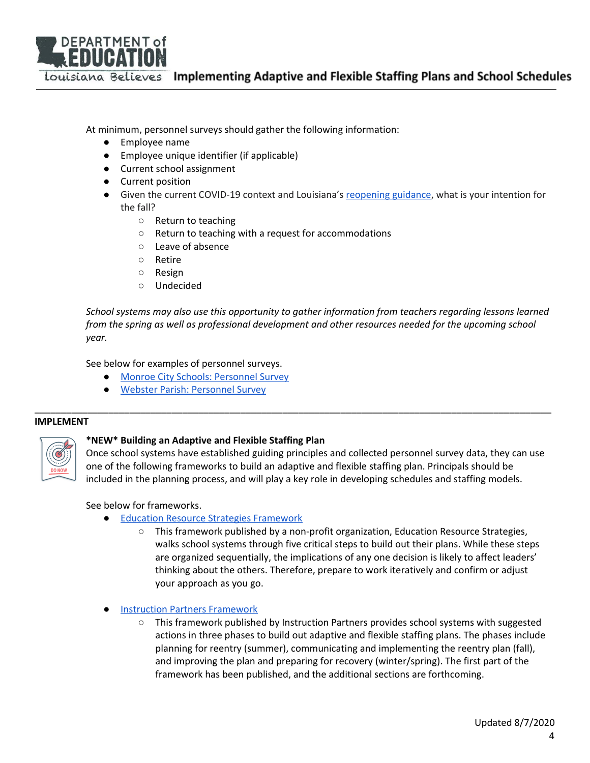

At minimum, personnel surveys should gather the following information:

- Employee name
- Employee unique identifier (if applicable)
- Current school assignment
- Current position
- Given the current COVID-19 context and Louisiana's [reopening](https://www.louisianabelieves.com/docs/default-source/strong-start-2020/school-reopening-guidelines-and-resources.pdf) guidance, what is your intention for the fall?
	- Return to teaching
	- Return to teaching with a request for accommodations
	- Leave of absence
	- Retire
	- Resign
	- Undecided

*School systems may also use this opportunity to gather information from teachers regarding lessons learned from the spring as well as professional development and other resources needed for the upcoming school year.*

See below for examples of personnel surveys.

- Monroe City Schools: [Personnel](https://www.louisianabelieves.com/docs/default-source/covid-19-resources/monroe-city-schools-sample-personnel-survey.pdf?sfvrsn=553981f_2) Survey
- Webster Parish: [Personnel](https://www.louisianabelieves.com/docs/default-source/covid-19-resources/webster-parish-sample-personnel-survey.pdf?sfvrsn=453981f_2) Survey

#### <span id="page-3-0"></span>**IMPLEMENT**



## <span id="page-3-1"></span>**\*NEW\* Building an Adaptive and Flexible Staffing Plan**

Once school systems have established guiding principles and collected personnel survey data, they can use one of the following frameworks to build an adaptive and flexible staffing plan. Principals should be included in the planning process, and will play a key role in developing schedules and staffing models.

\_\_\_\_\_\_\_\_\_\_\_\_\_\_\_\_\_\_\_\_\_\_\_\_\_\_\_\_\_\_\_\_\_\_\_\_\_\_\_\_\_\_\_\_\_\_\_\_\_\_\_\_\_\_\_\_\_\_\_\_\_\_\_\_\_\_\_\_\_\_\_\_\_\_\_\_\_\_\_\_\_\_\_\_\_\_\_\_\_\_\_\_\_\_\_\_\_\_

See below for frameworks.

- Education Resource Strategies [Framework](https://www.erstrategies.org/cms/files/4532-covid-decision-points.pdf)
	- This framework published by a non-profit organization, Education Resource Strategies, walks school systems through five critical steps to build out their plans. While these steps are organized sequentially, the implications of any one decision is likely to affect leaders' thinking about the others. Therefore, prepare to work iteratively and confirm or adjust your approach as you go.
- **Instruction Partners [Framework](https://instructionpartners.org/resources/planning-for-reentry-part-1)** 
	- This framework published by Instruction Partners provides school systems with suggested actions in three phases to build out adaptive and flexible staffing plans. The phases include planning for reentry (summer), communicating and implementing the reentry plan (fall), and improving the plan and preparing for recovery (winter/spring). The first part of the framework has been published, and the additional sections are forthcoming.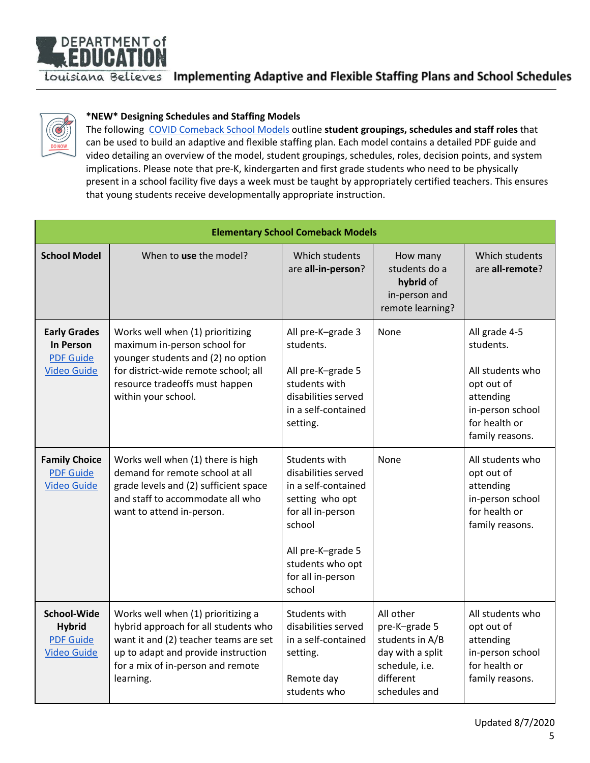



## <span id="page-4-0"></span>**\*NEW\* Designing Schedules and Staffing Models**

The following COVID [Comeback](https://www.erstrategies.org/tap/covid_comeback_models) School Models outline **student groupings, schedules and staff roles** that can be used to build an adaptive and flexible staffing plan. Each model contains a detailed PDF guide and video detailing an overview of the model, student groupings, schedules, roles, decision points, and system implications. Please note that pre-K, kindergarten and first grade students who need to be physically present in a school facility five days a week must be taught by appropriately certified teachers. This ensures that young students receive developmentally appropriate instruction.

<span id="page-4-1"></span>

| <b>Elementary School Comeback Models</b>                                          |                                                                                                                                                                                                              |                                                                                                                                                                                       |                                                                                                                   |                                                                                                                                   |  |
|-----------------------------------------------------------------------------------|--------------------------------------------------------------------------------------------------------------------------------------------------------------------------------------------------------------|---------------------------------------------------------------------------------------------------------------------------------------------------------------------------------------|-------------------------------------------------------------------------------------------------------------------|-----------------------------------------------------------------------------------------------------------------------------------|--|
| <b>School Model</b>                                                               | When to use the model?                                                                                                                                                                                       | Which students<br>are all-in-person?                                                                                                                                                  | How many<br>students do a<br>hybrid of<br>in-person and<br>remote learning?                                       | Which students<br>are all-remote?                                                                                                 |  |
| <b>Early Grades</b><br><b>In Person</b><br><b>PDF Guide</b><br><b>Video Guide</b> | Works well when (1) prioritizing<br>maximum in-person school for<br>younger students and (2) no option<br>for district-wide remote school; all<br>resource tradeoffs must happen<br>within your school.      | All pre-K-grade 3<br>students.<br>All pre-K-grade 5<br>students with<br>disabilities served<br>in a self-contained<br>setting.                                                        | None                                                                                                              | All grade 4-5<br>students.<br>All students who<br>opt out of<br>attending<br>in-person school<br>for health or<br>family reasons. |  |
| <b>Family Choice</b><br><b>PDF Guide</b><br><b>Video Guide</b>                    | Works well when (1) there is high<br>demand for remote school at all<br>grade levels and (2) sufficient space<br>and staff to accommodate all who<br>want to attend in-person.                               | Students with<br>disabilities served<br>in a self-contained<br>setting who opt<br>for all in-person<br>school<br>All pre-K-grade 5<br>students who opt<br>for all in-person<br>school | None                                                                                                              | All students who<br>opt out of<br>attending<br>in-person school<br>for health or<br>family reasons.                               |  |
| <b>School-Wide</b><br><b>Hybrid</b><br><b>PDF Guide</b><br><b>Video Guide</b>     | Works well when (1) prioritizing a<br>hybrid approach for all students who<br>want it and (2) teacher teams are set<br>up to adapt and provide instruction<br>for a mix of in-person and remote<br>learning. | Students with<br>disabilities served<br>in a self-contained<br>setting.<br>Remote day<br>students who                                                                                 | All other<br>pre-K-grade 5<br>students in A/B<br>day with a split<br>schedule, i.e.<br>different<br>schedules and | All students who<br>opt out of<br>attending<br>in-person school<br>for health or<br>family reasons.                               |  |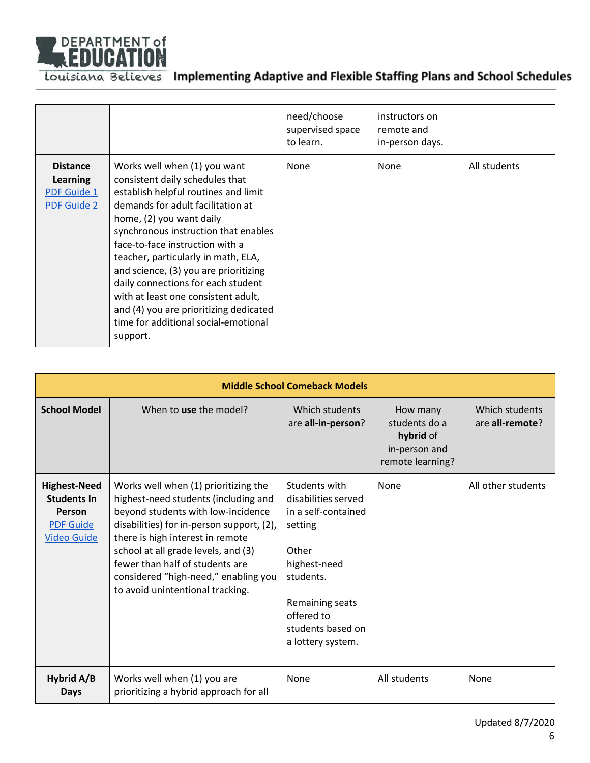

|                                                                  |                                                                                                                                                                                                                                                                                                                                                                                                                                                                                                                | need/choose<br>supervised space<br>to learn. | instructors on<br>remote and<br>in-person days. |              |
|------------------------------------------------------------------|----------------------------------------------------------------------------------------------------------------------------------------------------------------------------------------------------------------------------------------------------------------------------------------------------------------------------------------------------------------------------------------------------------------------------------------------------------------------------------------------------------------|----------------------------------------------|-------------------------------------------------|--------------|
| <b>Distance</b><br>Learning<br>PDF Guide 1<br><b>PDF Guide 2</b> | Works well when (1) you want<br>consistent daily schedules that<br>establish helpful routines and limit<br>demands for adult facilitation at<br>home, (2) you want daily<br>synchronous instruction that enables<br>face-to-face instruction with a<br>teacher, particularly in math, ELA,<br>and science, (3) you are prioritizing<br>daily connections for each student<br>with at least one consistent adult,<br>and (4) you are prioritizing dedicated<br>time for additional social-emotional<br>support. | None                                         | <b>None</b>                                     | All students |

<span id="page-5-0"></span>

| <b>Middle School Comeback Models</b>                                                          |                                                                                                                                                                                                                                                                                                                                                           |                                                                                                                                                                                         |                                                                             |                                   |  |
|-----------------------------------------------------------------------------------------------|-----------------------------------------------------------------------------------------------------------------------------------------------------------------------------------------------------------------------------------------------------------------------------------------------------------------------------------------------------------|-----------------------------------------------------------------------------------------------------------------------------------------------------------------------------------------|-----------------------------------------------------------------------------|-----------------------------------|--|
| <b>School Model</b>                                                                           | When to use the model?                                                                                                                                                                                                                                                                                                                                    | Which students<br>are all-in-person?                                                                                                                                                    | How many<br>students do a<br>hybrid of<br>in-person and<br>remote learning? | Which students<br>are all-remote? |  |
| <b>Highest-Need</b><br><b>Students In</b><br>Person<br><b>PDF Guide</b><br><b>Video Guide</b> | Works well when (1) prioritizing the<br>highest-need students (including and<br>beyond students with low-incidence<br>disabilities) for in-person support, (2),<br>there is high interest in remote<br>school at all grade levels, and (3)<br>fewer than half of students are<br>considered "high-need," enabling you<br>to avoid unintentional tracking. | Students with<br>disabilities served<br>in a self-contained<br>setting<br>Other<br>highest-need<br>students.<br>Remaining seats<br>offered to<br>students based on<br>a lottery system. | None                                                                        | All other students                |  |
| Hybrid A/B<br><b>Days</b>                                                                     | Works well when (1) you are<br>prioritizing a hybrid approach for all                                                                                                                                                                                                                                                                                     | None                                                                                                                                                                                    | All students                                                                | None                              |  |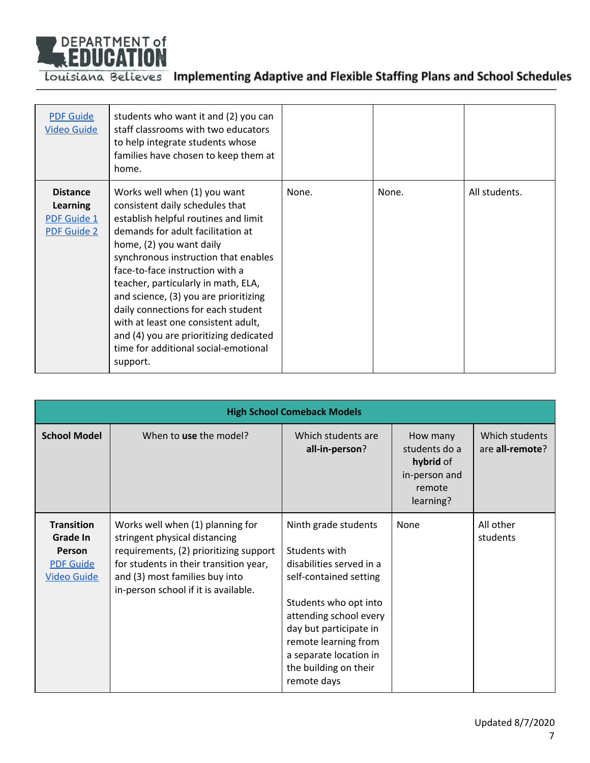

| <b>PDF Guide</b><br><b>Video Guide</b>                                  | students who want it and (2) you can<br>staff classrooms with two educators<br>to help integrate students whose<br>families have chosen to keep them at<br>home.                                                                                                                                                                                                                                                                                                                                               |       |       |               |
|-------------------------------------------------------------------------|----------------------------------------------------------------------------------------------------------------------------------------------------------------------------------------------------------------------------------------------------------------------------------------------------------------------------------------------------------------------------------------------------------------------------------------------------------------------------------------------------------------|-------|-------|---------------|
| <b>Distance</b><br><b>Learning</b><br>PDF Guide 1<br><b>PDF Guide 2</b> | Works well when (1) you want<br>consistent daily schedules that<br>establish helpful routines and limit<br>demands for adult facilitation at<br>home, (2) you want daily<br>synchronous instruction that enables<br>face-to-face instruction with a<br>teacher, particularly in math, ELA,<br>and science, (3) you are prioritizing<br>daily connections for each student<br>with at least one consistent adult,<br>and (4) you are prioritizing dedicated<br>time for additional social-emotional<br>support. | None. | None. | All students. |

<span id="page-6-0"></span>

| <b>High School Comeback Models</b>                                                       |                                                                                                                                                                                                                                 |                                                                                                                                                                                                                                                                    |                                                                                |                                           |  |  |
|------------------------------------------------------------------------------------------|---------------------------------------------------------------------------------------------------------------------------------------------------------------------------------------------------------------------------------|--------------------------------------------------------------------------------------------------------------------------------------------------------------------------------------------------------------------------------------------------------------------|--------------------------------------------------------------------------------|-------------------------------------------|--|--|
| <b>School Model</b>                                                                      | When to use the model?                                                                                                                                                                                                          | Which students are<br>all-in-person?                                                                                                                                                                                                                               | How many<br>students do a<br>hybrid of<br>in-person and<br>remote<br>learning? | Which students<br>are <b>all-remote</b> ? |  |  |
| <b>Transition</b><br>Grade In<br><b>Person</b><br><b>PDF Guide</b><br><b>Video Guide</b> | Works well when (1) planning for<br>stringent physical distancing<br>requirements, (2) prioritizing support<br>for students in their transition year,<br>and (3) most families buy into<br>in-person school if it is available. | Ninth grade students<br>Students with<br>disabilities served in a<br>self-contained setting<br>Students who opt into<br>attending school every<br>day but participate in<br>remote learning from<br>a separate location in<br>the building on their<br>remote days | None                                                                           | All other<br>students                     |  |  |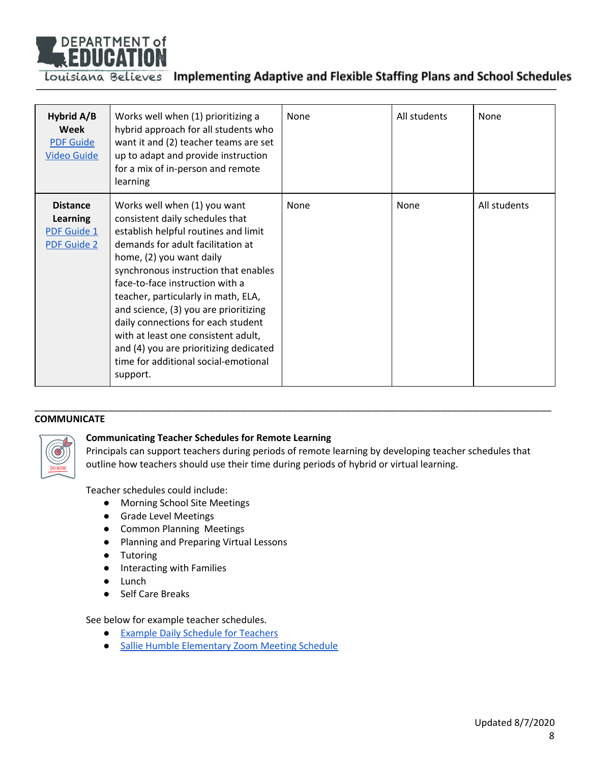

| Hybrid A/B<br>Week<br><b>PDF Guide</b><br><b>Video Guide</b>            | Works well when (1) prioritizing a<br>hybrid approach for all students who<br>want it and (2) teacher teams are set<br>up to adapt and provide instruction<br>for a mix of in-person and remote<br>learning                                                                                                                                                                                                                                                                                                    | None | All students | None         |
|-------------------------------------------------------------------------|----------------------------------------------------------------------------------------------------------------------------------------------------------------------------------------------------------------------------------------------------------------------------------------------------------------------------------------------------------------------------------------------------------------------------------------------------------------------------------------------------------------|------|--------------|--------------|
| <b>Distance</b><br>Learning<br><b>PDF Guide 1</b><br><b>PDF Guide 2</b> | Works well when (1) you want<br>consistent daily schedules that<br>establish helpful routines and limit<br>demands for adult facilitation at<br>home, (2) you want daily<br>synchronous instruction that enables<br>face-to-face instruction with a<br>teacher, particularly in math, ELA,<br>and science, (3) you are prioritizing<br>daily connections for each student<br>with at least one consistent adult,<br>and (4) you are prioritizing dedicated<br>time for additional social-emotional<br>support. | None | None         | All students |

#### <span id="page-7-0"></span>**COMMUNICATE**



## <span id="page-7-1"></span>**Communicating Teacher Schedules for Remote Learning**

Principals can support teachers during periods of remote learning by developing teacher schedules that outline how teachers should use their time during periods of hybrid or virtual learning.

\_\_\_\_\_\_\_\_\_\_\_\_\_\_\_\_\_\_\_\_\_\_\_\_\_\_\_\_\_\_\_\_\_\_\_\_\_\_\_\_\_\_\_\_\_\_\_\_\_\_\_\_\_\_\_\_\_\_\_\_\_\_\_\_\_\_\_\_\_\_\_\_\_\_\_\_\_\_\_\_\_\_\_\_\_\_\_\_\_\_\_\_\_\_\_\_\_\_

Teacher schedules could include:

- Morning School Site Meetings
- Grade Level Meetings
- Common Planning Meetings
- Planning and Preparing Virtual Lessons
- Tutoring
- Interacting with Families
- Lunch
- Self Care Breaks

See below for example teacher schedules.

- Example Daily [Schedule](https://www.louisianabelieves.com/docs/default-source/covid-19-resources/sample-learning-schedules.pdf) for Teachers
- Sallie Humble [Elementary](https://www.louisianabelieves.com/docs/default-source/covid-19-resources/mc-sallie-humble-zoom-schedule.pdf?sfvrsn=1f239b1f_2) Zoom Meeting Schedule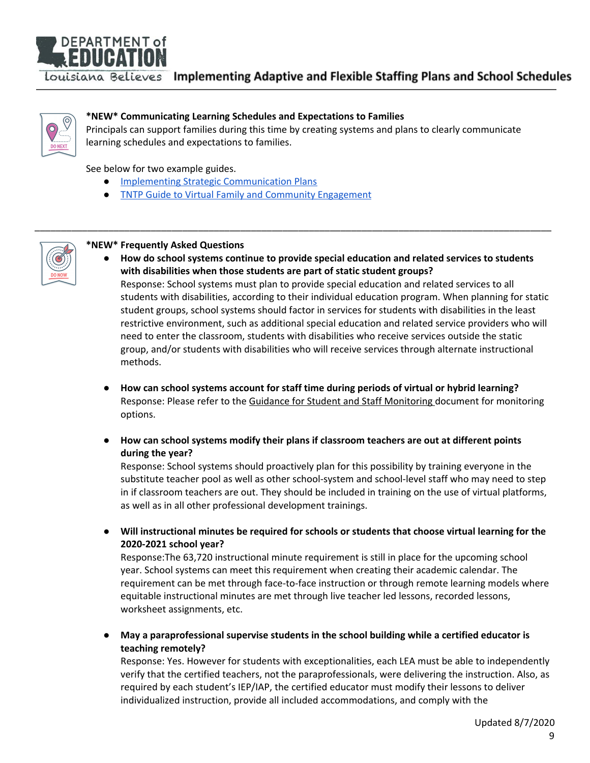# DEPARTMENT of **EDUCAT**

Louisiana Believes Implementing Adaptive and Flexible Staffing Plans and School Schedules



## <span id="page-8-1"></span>**\*NEW\* Communicating Learning Schedules and Expectations to Families**

Principals can support families during this time by creating systems and plans to clearly communicate learning schedules and expectations to families.

\_\_\_\_\_\_\_\_\_\_\_\_\_\_\_\_\_\_\_\_\_\_\_\_\_\_\_\_\_\_\_\_\_\_\_\_\_\_\_\_\_\_\_\_\_\_\_\_\_\_\_\_\_\_\_\_\_\_\_\_\_\_\_\_\_\_\_\_\_\_\_\_\_\_\_\_\_\_\_\_\_\_\_\_\_\_\_\_\_\_\_\_\_\_\_\_\_\_

See below for two example guides.

- Implementing Strategic [Communication](https://www.louisianabelieves.com/docs/default-source/strong-start-2020/implementing-strategic-communications-plans.pdf?sfvrsn=6052981f_2) Plans
- TNTP Guide to Virtual Family and Community [Engagement](https://tntp.org/assets/covid-19-toolkit-resources/Virtual_Family_and_Community_Engagement-TNTP.pdf)



#### <span id="page-8-0"></span>**\*NEW\* Frequently Asked Questions**

**● How do school systems continue to provide special education and related services to students with disabilities when those students are part of static student groups?**

Response: School systems must plan to provide special education and related services to all students with disabilities, according to their individual education program. When planning for static student groups, school systems should factor in services for students with disabilities in the least restrictive environment, such as additional special education and related service providers who will need to enter the classroom, students with disabilities who receive services outside the static group, and/or students with disabilities who will receive services through alternate instructional methods.

- **● How can school systems account for staff time during periods of virtual or hybrid learning?** Response: Please refer to the Guidance for Student and Staff [Monitoring](https://www.louisianabelieves.com/docs/default-source/covid-19-resources/guidance-for-staffing-and-student-monitoring.pdf?sfvrsn=195b9b1f_2) document for monitoring options.
- **● How can school systems modify their plans if classroom teachers are out at different points during the year?**

Response: School systems should proactively plan for this possibility by training everyone in the substitute teacher pool as well as other school-system and school-level staff who may need to step in if classroom teachers are out. They should be included in training on the use of virtual platforms, as well as in all other professional development trainings.

● **Will instructional minutes be required for schools or students that choose virtual learning for the 2020-2021 school year?**

Response:The 63,720 instructional minute requirement is still in place for the upcoming school year. School systems can meet this requirement when creating their academic calendar. The requirement can be met through face-to-face instruction or through remote learning models where equitable instructional minutes are met through live teacher led lessons, recorded lessons, worksheet assignments, etc.

**● May a paraprofessional supervise students in the school building while a certified educator is teaching remotely?**

Response: Yes. However for students with exceptionalities, each LEA must be able to independently verify that the certified teachers, not the paraprofessionals, were delivering the instruction. Also, as required by each student's IEP/IAP, the certified educator must modify their lessons to deliver individualized instruction, provide all included accommodations, and comply with the